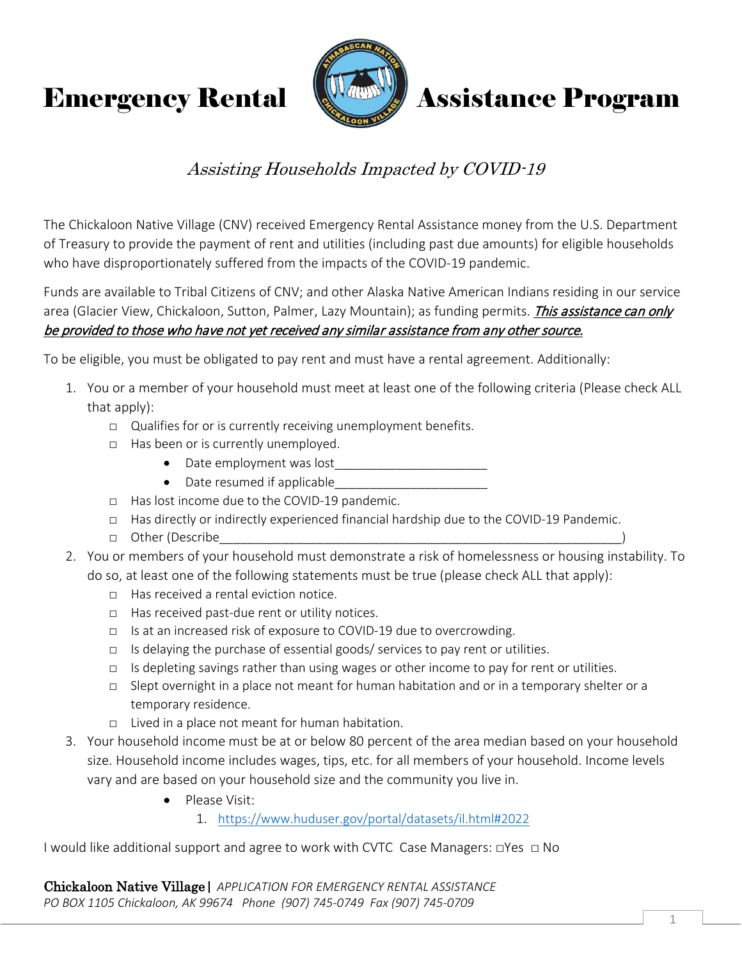

# **Emergency Rental Assistance Program**

## Assisting Households Impacted by COVID-19

The Chickaloon Native Village (CNV) received Emergency Rental Assistance money from the U.S. Department of Treasury to provide the payment of rent and utilities (including past due amounts) for eligible households who have disproportionately suffered from the impacts of the COVID-19 pandemic.

Funds are available to Tribal Citizens of CNV; and other Alaska Native American Indians residing in our service area (Glacier View, Chickaloon, Sutton, Palmer, Lazy Mountain); as funding permits. This assistance can only be provided to those who have not yet received any similar assistance from any other source.

To be eligible, you must be obligated to pay rent and must have a rental agreement. Additionally:

- 1. You or a member of your household must meet at least one of the following criteria (Please check ALL that apply):
	- □ Qualifies for or is currently receiving unemployment benefits.
	- □ Has been or is currently unemployed.
		- Date employment was lost
		- Date resumed if applicable
	- □ Has lost income due to the COVID-19 pandemic.
	- □ Has directly or indirectly experienced financial hardship due to the COVID-19 Pandemic.
	- □ Other (Describe
- 2. You or members of your household must demonstrate a risk of homelessness or housing instability. To do so, at least one of the following statements must be true (please check ALL that apply):
	- □ Has received a rental eviction notice.
	- □ Has received past-due rent or utility notices.
	- □ Is at an increased risk of exposure to COVID-19 due to overcrowding.
	- $\Box$  Is delaying the purchase of essential goods/ services to pay rent or utilities.
	- $\Box$  Is depleting savings rather than using wages or other income to pay for rent or utilities.
	- □ Slept overnight in a place not meant for human habitation and or in a temporary shelter or a temporary residence.
	- □ Lived in a place not meant for human habitation.
- 3. Your household income must be at or below 80 percent of the area median based on your household size. Household income includes wages, tips, etc. for all members of your household. Income levels vary and are based on your household size and the community you live in.
	- Please Visit:
		- 1. <https://www.huduser.gov/portal/datasets/il.html#2022>

I would like additional support and agree to work with CVTC Case Managers:  $\Box$ Yes  $\Box$  No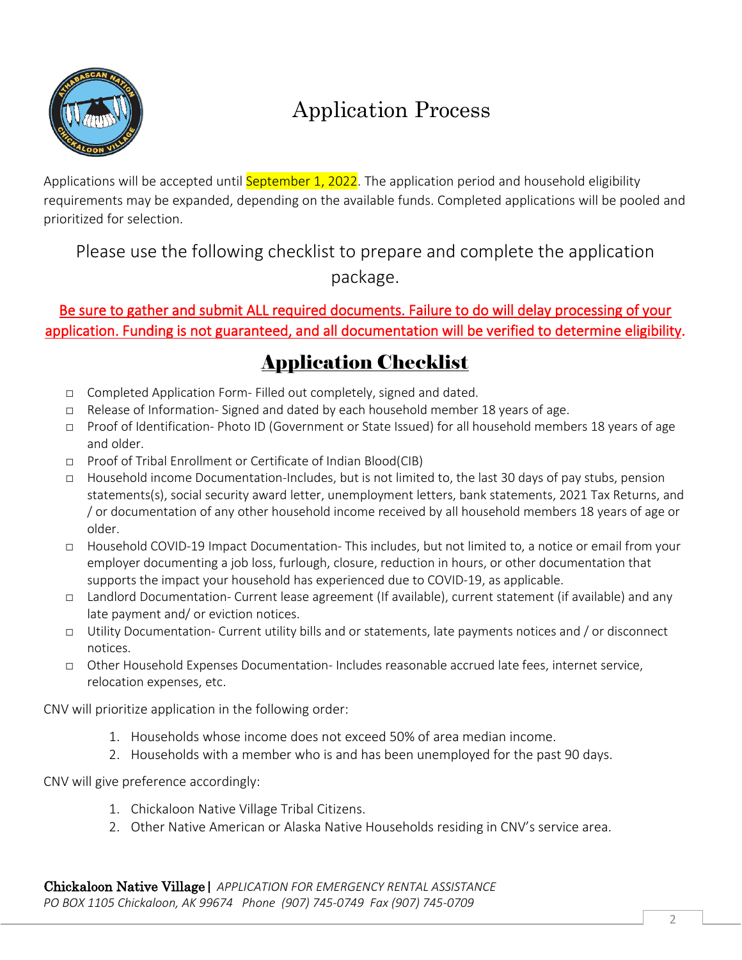

# Application Process

Applications will be accepted until **September 1, 2022**. The application period and household eligibility requirements may be expanded, depending on the available funds. Completed applications will be pooled and prioritized for selection.

Please use the following checklist to prepare and complete the application package.

### Be sure to gather and submit ALL required documents. Failure to do will delay processing of your application. Funding is not guaranteed, and all documentation will be verified to determine eligibility.

## Application Checklist

- □ Completed Application Form- Filled out completely, signed and dated.
- $\Box$  Release of Information-Signed and dated by each household member 18 years of age.
- □ Proof of Identification- Photo ID (Government or State Issued) for all household members 18 years of age and older.
- □ Proof of Tribal Enrollment or Certificate of Indian Blood(CIB)
- □ Household income Documentation-Includes, but is not limited to, the last 30 days of pay stubs, pension statements(s), social security award letter, unemployment letters, bank statements, 2021 Tax Returns, and / or documentation of any other household income received by all household members 18 years of age or older.
- □ Household COVID-19 Impact Documentation- This includes, but not limited to, a notice or email from your employer documenting a job loss, furlough, closure, reduction in hours, or other documentation that supports the impact your household has experienced due to COVID-19, as applicable.
- □ Landlord Documentation- Current lease agreement (If available), current statement (if available) and any late payment and/ or eviction notices.
- □ Utility Documentation- Current utility bills and or statements, late payments notices and / or disconnect notices.
- □ Other Household Expenses Documentation- Includes reasonable accrued late fees, internet service, relocation expenses, etc.

CNV will prioritize application in the following order:

- 1. Households whose income does not exceed 50% of area median income.
- 2. Households with a member who is and has been unemployed for the past 90 days.

CNV will give preference accordingly:

- 1. Chickaloon Native Village Tribal Citizens.
- 2. Other Native American or Alaska Native Households residing in CNV's service area.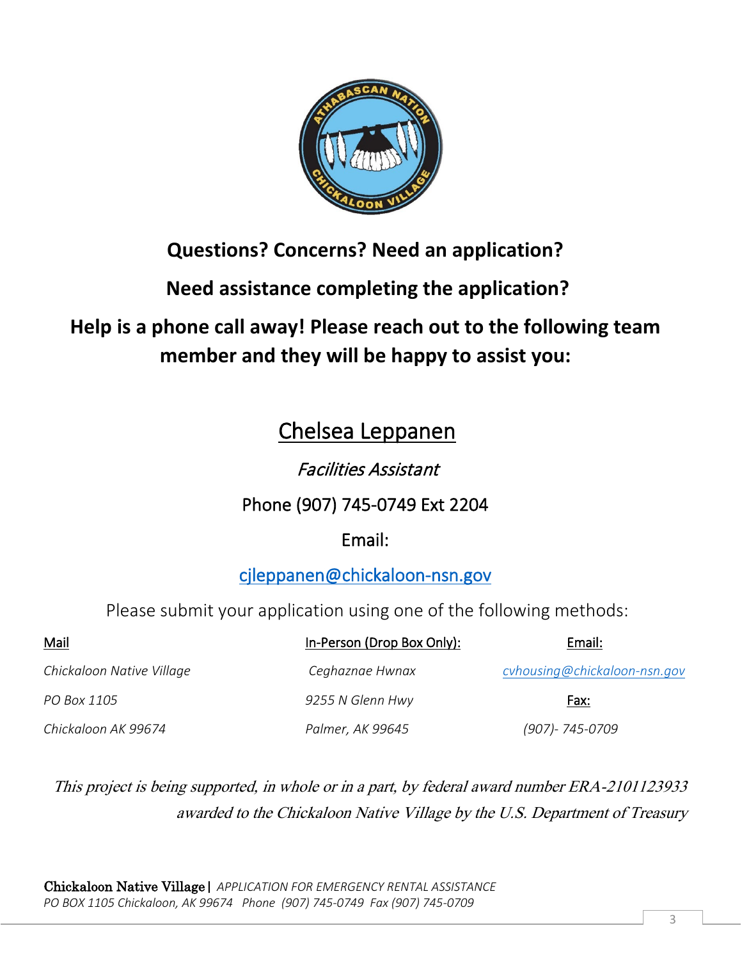

## **Questions? Concerns? Need an application?**

**Need assistance completing the application?** 

## **Help is a phone call away! Please reach out to the following team member and they will be happy to assist you:**

## Chelsea Leppanen

## Facilities Assistant

## Phone (907) 745-0749 Ext 2204

## Email:

### [cjleppanen@chickaloon-nsn.gov](mailto:cjleppanen@chickaloon-nsn.gov)

### Please submit your application using one of the following methods:

| <b>Mail</b>               | In-Person (Drop Box Only): | Email:                       |
|---------------------------|----------------------------|------------------------------|
| Chickaloon Native Village | Ceghaznae Hwnax            | cvhousing@chickaloon-nsn.gov |
| PO Box 1105               | 9255 N Glenn Hwy           | Fax:                         |
| Chickaloon AK 99674       | Palmer, AK 99645           | (907)-745-0709               |

This project is being supported, in whole or in a part, by federal award number ERA-2101123933 awarded to the Chickaloon Native Village by the U.S. Department of Treasury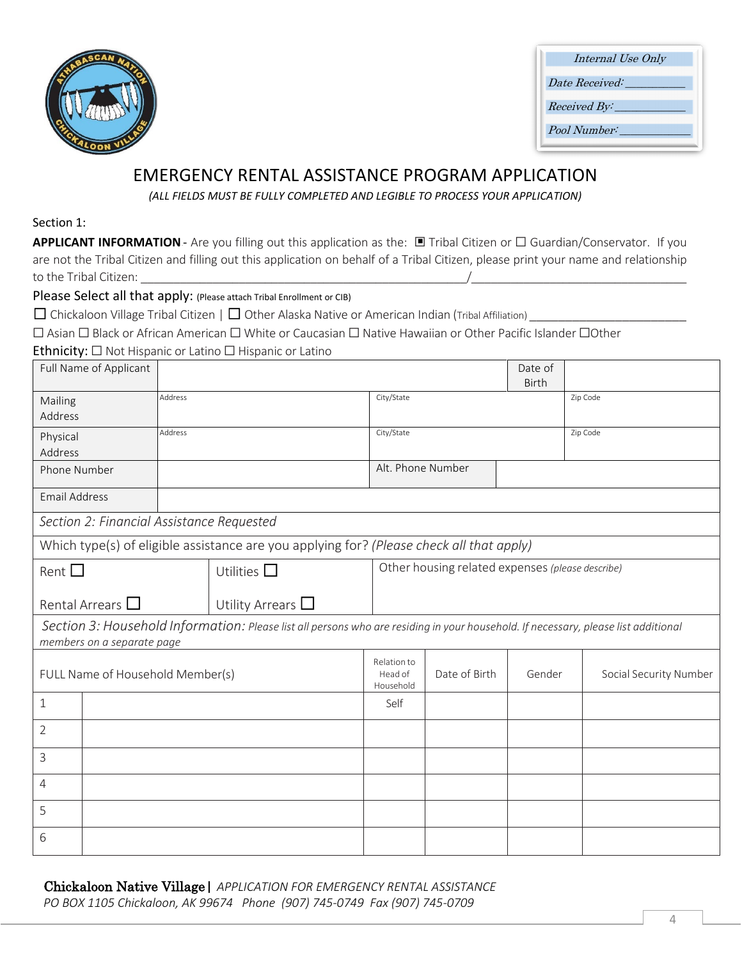

| Internal Use Only    |  |
|----------------------|--|
| Date Received:       |  |
| Received By:         |  |
| <i>Pool Number</i> : |  |

### EMERGENCY RENTAL ASSISTANCE PROGRAM APPLICATION

*(ALL FIELDS MUST BE FULLY COMPLETED AND LEGIBLE TO PROCESS YOUR APPLICATION)*

#### Section 1:

**APPLICANT INFORMATION** - Are you filling out this application as the: □ Tribal Citizen or □ Guardian/Conservator. If you are not the Tribal Citizen and filling out this application on behalf of a Tribal Citizen, please print your name and relationship to the Tribal Citizen:

Please Select all that apply: (Please attach Tribal Enrollment or CIB)

 $\Box$  Chickaloon Village Tribal Citizen |  $\Box$  Other Alaska Native or American Indian (Tribal Affiliation)

☐ Asian ☐ Black or African American ☐ White or Caucasian ☐ Native Hawaiian or Other Pacific Islander ☐Other

#### Ethnicity: ☐ Not Hispanic or Latino ☐ Hispanic or Latino

|                      | Full Name of Applicant                    |         |                                                                                                                                    |                                     |                                                  | Date of      |                        |
|----------------------|-------------------------------------------|---------|------------------------------------------------------------------------------------------------------------------------------------|-------------------------------------|--------------------------------------------------|--------------|------------------------|
|                      |                                           |         |                                                                                                                                    |                                     |                                                  | <b>Birth</b> |                        |
| Mailing              |                                           | Address |                                                                                                                                    | City/State                          |                                                  |              | Zip Code               |
| Address              |                                           |         |                                                                                                                                    |                                     |                                                  |              |                        |
| Physical             |                                           | Address |                                                                                                                                    | City/State                          |                                                  |              | Zip Code               |
| Address              |                                           |         |                                                                                                                                    |                                     |                                                  |              |                        |
| Phone Number         |                                           |         |                                                                                                                                    | Alt. Phone Number                   |                                                  |              |                        |
| <b>Email Address</b> |                                           |         |                                                                                                                                    |                                     |                                                  |              |                        |
|                      | Section 2: Financial Assistance Requested |         |                                                                                                                                    |                                     |                                                  |              |                        |
|                      |                                           |         | Which type(s) of eligible assistance are you applying for? (Please check all that apply)                                           |                                     |                                                  |              |                        |
| Rent $\Box$          |                                           |         | Utilities $\Box$                                                                                                                   |                                     | Other housing related expenses (please describe) |              |                        |
|                      | Rental Arrears $\Box$                     |         | Utility Arrears $\Box$                                                                                                             |                                     |                                                  |              |                        |
|                      | members on a separate page                |         | Section 3: Household Information: Please list all persons who are residing in your household. If necessary, please list additional |                                     |                                                  |              |                        |
|                      | FULL Name of Household Member(s)          |         |                                                                                                                                    | Relation to<br>Head of<br>Household | Date of Birth                                    | Gender       | Social Security Number |
| $\mathbf 1$          |                                           |         |                                                                                                                                    | Self                                |                                                  |              |                        |
| $\overline{2}$       |                                           |         |                                                                                                                                    |                                     |                                                  |              |                        |
| 3                    |                                           |         |                                                                                                                                    |                                     |                                                  |              |                        |
| 4                    |                                           |         |                                                                                                                                    |                                     |                                                  |              |                        |
| 5                    |                                           |         |                                                                                                                                    |                                     |                                                  |              |                        |
| 6                    |                                           |         |                                                                                                                                    |                                     |                                                  |              |                        |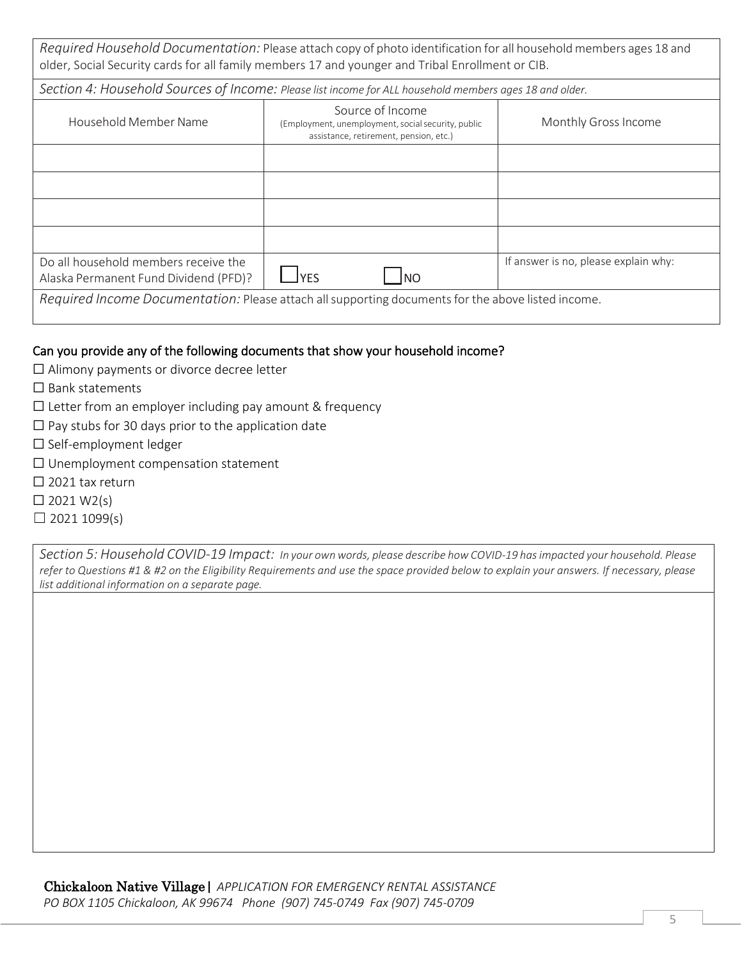*Required Household Documentation:* Please attach copy of photo identification for all household members ages 18 and older, Social Security cards for all family members 17 and younger and Tribal Enrollment or CIB.

|                                                                               | Section 4: Household Sources of Income: Please list income for ALL household members ages 18 and older.          |                                      |
|-------------------------------------------------------------------------------|------------------------------------------------------------------------------------------------------------------|--------------------------------------|
| Household Member Name                                                         | Source of Income<br>(Employment, unemployment, social security, public<br>assistance, retirement, pension, etc.) | Monthly Gross Income                 |
|                                                                               |                                                                                                                  |                                      |
|                                                                               |                                                                                                                  |                                      |
|                                                                               |                                                                                                                  |                                      |
|                                                                               |                                                                                                                  |                                      |
| Do all household members receive the<br>Alaska Permanent Fund Dividend (PFD)? | <b>IYES</b><br>INO                                                                                               | If answer is no, please explain why: |
|                                                                               | Required Income Documentation: Please attach all supporting documents for the above listed income.               |                                      |

#### Can you provide any of the following documents that show your household income?

- ☐ Alimony payments or divorce decree letter
- ☐ Bank statements
- $\Box$  Letter from an employer including pay amount & frequency
- $\Box$  Pay stubs for 30 days prior to the application date
- ☐ Self-employment ledger
- ☐ Unemployment compensation statement
- □ 2021 tax return
- $\Box$  2021 W2(s)
- $\Box$  2021 1099(s)

*Section 5: Household COVID-19 Impact: In your own words, please describe how COVID-19 hasimpacted your household. Please* refer to Questions #1 & #2 on the Eligibility Requirements and use the space provided below to explain your answers. If necessary, please *list additional information on a separate page.*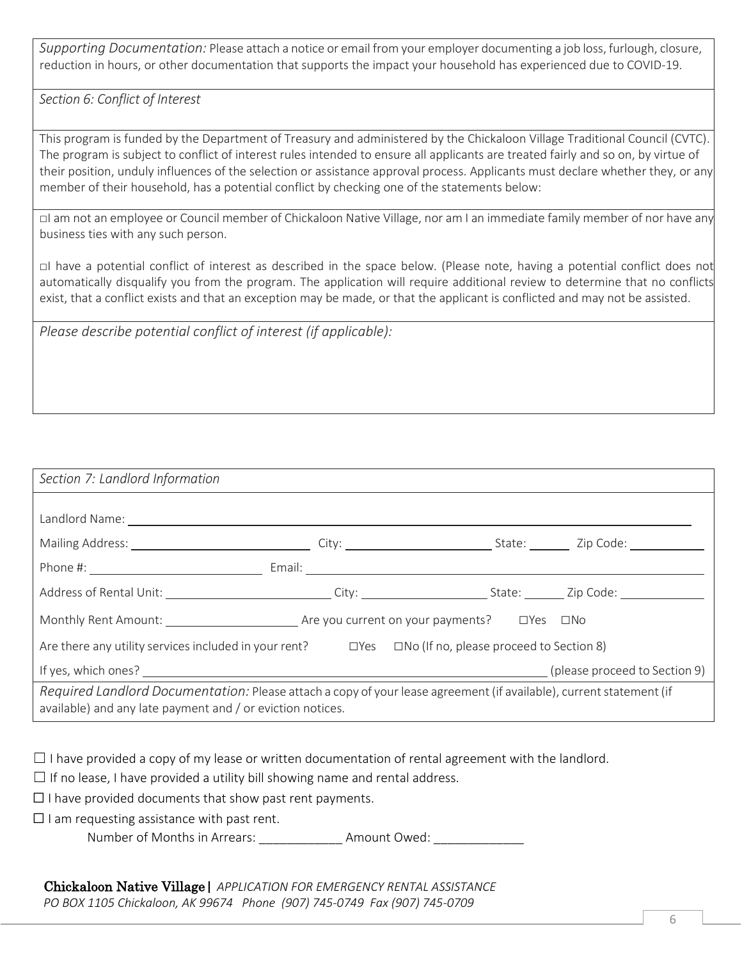*Supporting Documentation:* Please attach a notice or email from your employer documenting a job loss, furlough, closure, reduction in hours, or other documentation that supports the impact your household has experienced due to COVID-19.

*Section 6: Conflict of Interest*

This program is funded by the Department of Treasury and administered by the Chickaloon Village Traditional Council (CVTC). The program is subject to conflict of interest rules intended to ensure all applicants are treated fairly and so on, by virtue of their position, unduly influences of the selection or assistance approval process. Applicants must declare whether they, or any member of their household, has a potential conflict by checking one of the statements below:

□I am not an employee or Council member of Chickaloon Native Village, nor am I an immediate family member of nor have any business ties with any such person.

□I have a potential conflict of interest as described in the space below. (Please note, having a potential conflict does not automatically disqualify you from the program. The application will require additional review to determine that no conflicts exist, that a conflict exists and that an exception may be made, or that the applicant is conflicted and may not be assisted.

*Please describe potential conflict of interest (if applicable):*

| Section 7: Landlord Information                                                                                                                                                   |                               |
|-----------------------------------------------------------------------------------------------------------------------------------------------------------------------------------|-------------------------------|
|                                                                                                                                                                                   |                               |
|                                                                                                                                                                                   |                               |
|                                                                                                                                                                                   |                               |
|                                                                                                                                                                                   |                               |
| Monthly Rent Amount: and Sample 19 are you current on your payments? DYes DNo                                                                                                     |                               |
| Are there any utility services included in your rent? □ Yes □ No (If no, please proceed to Section 8)                                                                             |                               |
|                                                                                                                                                                                   | (please proceed to Section 9) |
| Required Landlord Documentation: Please attach a copy of your lease agreement (if available), current statement (if<br>available) and any late payment and / or eviction notices. |                               |

 $\Box$  I have provided a copy of my lease or written documentation of rental agreement with the landlord.

 $\Box$  If no lease, I have provided a utility bill showing name and rental address.

 $\Box$  I have provided documents that show past rent payments.

 $\Box$  I am requesting assistance with past rent.

Number of Months in Arrears: Amount Owed: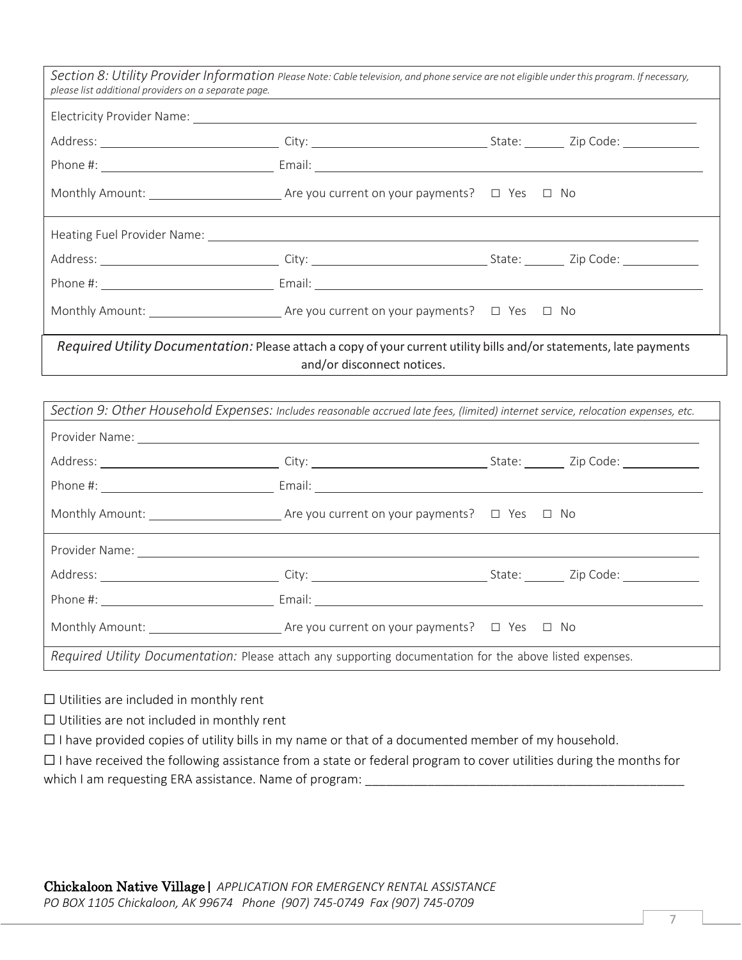| Section 8: Utility Provider Information Please Note: Cable television, and phone service are not eligible under this program. If necessary,<br>please list additional providers on a separate page. |                            |  |
|-----------------------------------------------------------------------------------------------------------------------------------------------------------------------------------------------------|----------------------------|--|
|                                                                                                                                                                                                     |                            |  |
|                                                                                                                                                                                                     |                            |  |
|                                                                                                                                                                                                     |                            |  |
| Monthly Amount: $\qquad \qquad$ Are you current on your payments? $\qquad \Box$ Yes $\Box$ No                                                                                                       |                            |  |
|                                                                                                                                                                                                     |                            |  |
|                                                                                                                                                                                                     |                            |  |
|                                                                                                                                                                                                     |                            |  |
| Monthly Amount: $\qquad \qquad$ Are you current on your payments? $\Box$ Yes $\Box$ No                                                                                                              |                            |  |
| Required Utility Documentation: Please attach a copy of your current utility bills and/or statements, late payments                                                                                 | and/or disconnect notices. |  |

| Section 9: Other Household Expenses: Includes reasonable accrued late fees, (limited) internet service, relocation expenses, etc. |
|-----------------------------------------------------------------------------------------------------------------------------------|
| Provider Name:                                                                                                                    |

| Provider Natile.                                                                                          |  |
|-----------------------------------------------------------------------------------------------------------|--|
|                                                                                                           |  |
|                                                                                                           |  |
| Monthly Amount: 1990 Monthly Amount: 2000 Monthly Amount: 2000 Monthly Amount: 2000 Mo                    |  |
|                                                                                                           |  |
|                                                                                                           |  |
|                                                                                                           |  |
| Monthly Amount: 1990 Monthly Amount: 2000 Monthly Amount: 2000 Monthly Amount: 2000 Mo                    |  |
| Required Utility Documentation: Please attach any supporting documentation for the above listed expenses. |  |

☐ Utilities are included in monthly rent

☐ Utilities are not included in monthly rent

☐ I have provided copies of utility bills in my name or that of a documented member of my household.

☐ I have received the following assistance from a state or federal program to cover utilities during the months for which I am requesting ERA assistance. Name of program: \_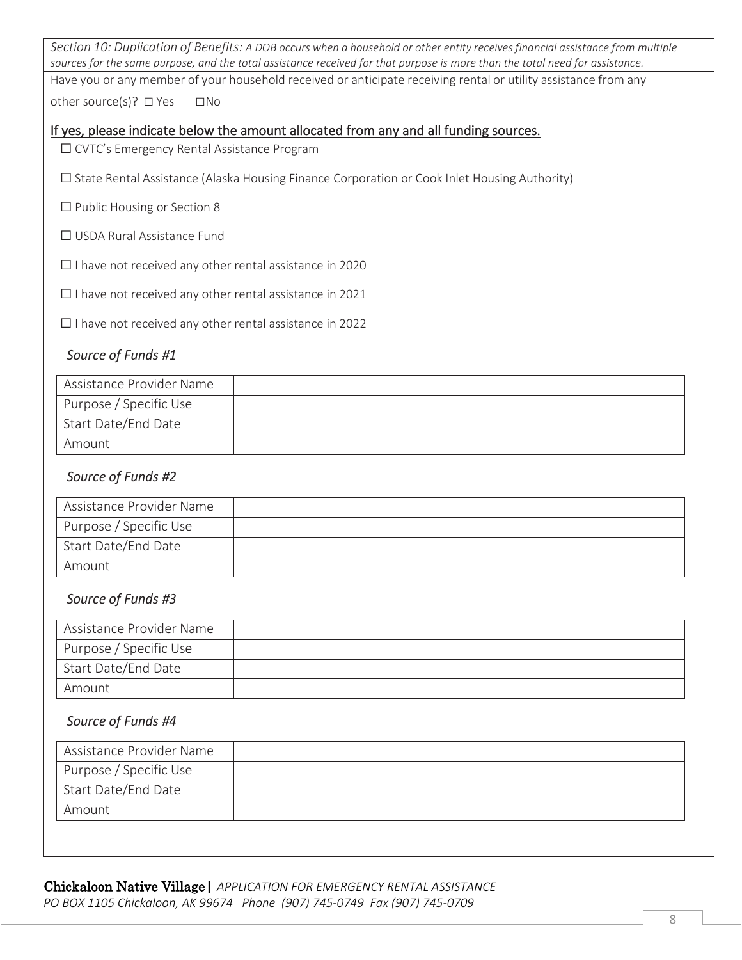Section 10: Duplication of Benefits: A DOB occurs when a household or other entity receives financial assistance from multiple *sources for the same purpose, and the total assistance received for that purpose is more than the total need for assistance.*

Have you or any member of your household received or anticipate receiving rental or utility assistance from any

other source(s)? □ Yes □No

#### If yes, please indicate below the amount allocated from any and all funding sources.

☐ CVTC's Emergency Rental Assistance Program

- ☐ State Rental Assistance (Alaska Housing Finance Corporation or Cook Inlet Housing Authority)
- $\Box$  Public Housing or Section 8
- ☐ USDA Rural Assistance Fund

☐ I have not received any other rental assistance in 2020

 $\Box$  I have not received any other rental assistance in 2021

☐ I have not received any other rental assistance in 2022

#### *Source of Funds #1*

| Assistance Provider Name |  |
|--------------------------|--|
| Purpose / Specific Use   |  |
| Start Date/End Date      |  |
| Amount                   |  |

#### *Source of Funds #2*

| Assistance Provider Name |  |
|--------------------------|--|
| Purpose / Specific Use   |  |
| Start Date/End Date      |  |
| Amount                   |  |

#### *Source of Funds #3*

| Assistance Provider Name |  |
|--------------------------|--|
| Purpose / Specific Use   |  |
| Start Date/End Date      |  |
| Amount                   |  |

#### *Source of Funds #4*

| Assistance Provider Name |  |
|--------------------------|--|
| Purpose / Specific Use   |  |
| Start Date/End Date      |  |
| Amount                   |  |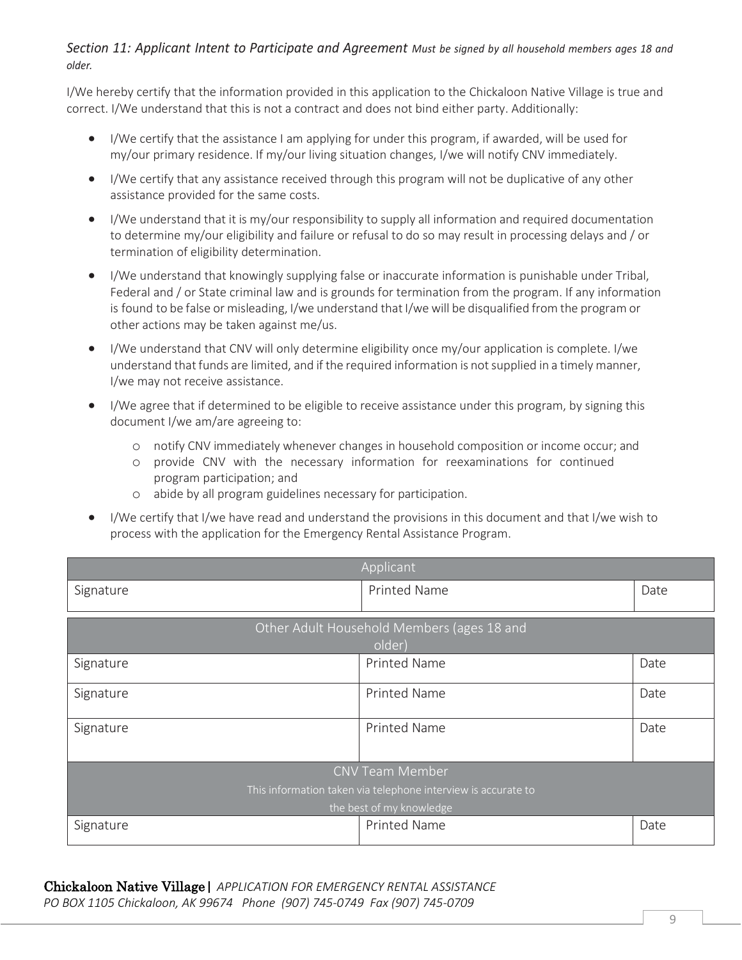#### Section 11: Applicant Intent to Participate and Agreement Must be signed by all household members ages 18 and *older.*

I/We hereby certify that the information provided in this application to the Chickaloon Native Village is true and correct. I/We understand that this is not a contract and does not bind either party. Additionally:

- I/We certify that the assistance I am applying for under this program, if awarded, will be used for my/our primary residence. If my/our living situation changes, I/we will notify CNV immediately.
- I/We certify that any assistance received through this program will not be duplicative of any other assistance provided for the same costs.
- I/We understand that it is my/our responsibility to supply all information and required documentation to determine my/our eligibility and failure or refusal to do so may result in processing delays and / or termination of eligibility determination.
- I/We understand that knowingly supplying false or inaccurate information is punishable under Tribal, Federal and / or State criminal law and is grounds for termination from the program. If any information is found to be false or misleading, I/we understand that I/we will be disqualified from the program or other actions may be taken against me/us.
- I/We understand that CNV will only determine eligibility once my/our application is complete. I/we understand that funds are limited, and if the required information is not supplied in a timely manner, I/we may not receive assistance.
- I/We agree that if determined to be eligible to receive assistance under this program, by signing this document I/we am/are agreeing to:
	- o notify CNV immediately whenever changes in household composition or income occur; and
	- o provide CNV with the necessary information for reexaminations for continued program participation; and
	- o abide by all program guidelines necessary for participation.
- I/We certify that I/we have read and understand the provisions in this document and that I/we wish to process with the application for the Emergency Rental Assistance Program.

| Applicant                                                     |                                            |      |  |  |
|---------------------------------------------------------------|--------------------------------------------|------|--|--|
| Signature                                                     | <b>Printed Name</b>                        | Date |  |  |
|                                                               |                                            |      |  |  |
|                                                               | Other Adult Household Members (ages 18 and |      |  |  |
|                                                               | older)                                     |      |  |  |
| Signature                                                     | <b>Printed Name</b>                        | Date |  |  |
| Signature                                                     | <b>Printed Name</b>                        | Date |  |  |
| Signature                                                     | <b>Printed Name</b>                        | Date |  |  |
| <b>CNV Team Member</b>                                        |                                            |      |  |  |
| This information taken via telephone interview is accurate to |                                            |      |  |  |
| the best of my knowledge                                      |                                            |      |  |  |
| Signature                                                     | <b>Printed Name</b>                        | Date |  |  |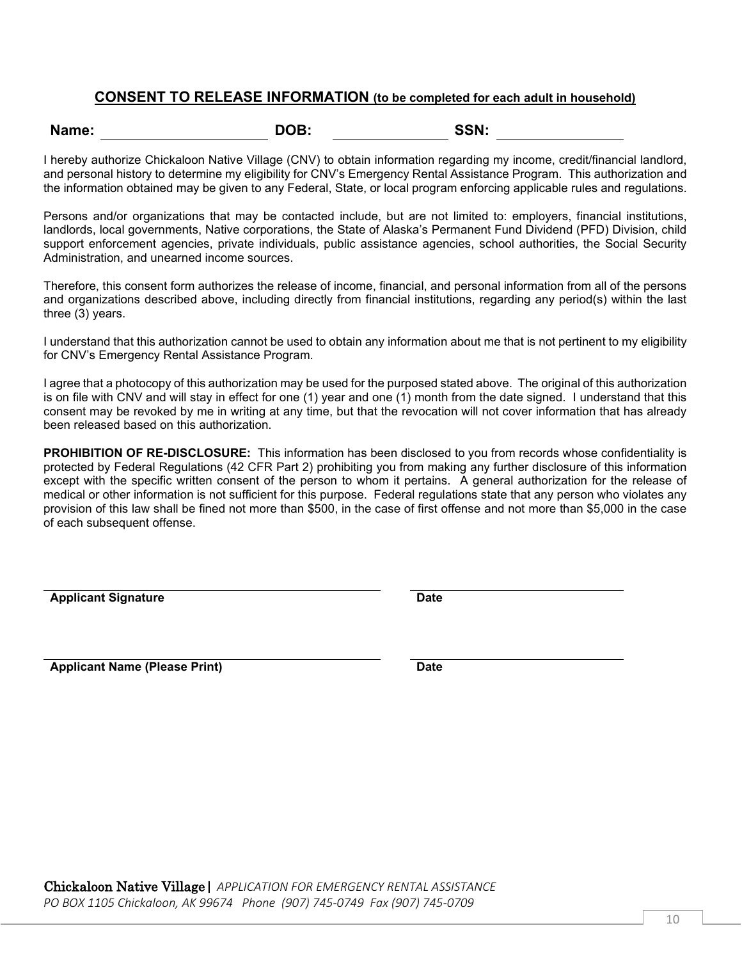#### **CONSENT TO RELEASE INFORMATION (to be completed for each adult in household)**

| Name:<br>DOB: | SSN: |
|---------------|------|
|---------------|------|

I hereby authorize Chickaloon Native Village (CNV) to obtain information regarding my income, credit/financial landlord, and personal history to determine my eligibility for CNV's Emergency Rental Assistance Program. This authorization and the information obtained may be given to any Federal, State, or local program enforcing applicable rules and regulations.

Persons and/or organizations that may be contacted include, but are not limited to: employers, financial institutions, landlords, local governments, Native corporations, the State of Alaska's Permanent Fund Dividend (PFD) Division, child support enforcement agencies, private individuals, public assistance agencies, school authorities, the Social Security Administration, and unearned income sources.

Therefore, this consent form authorizes the release of income, financial, and personal information from all of the persons and organizations described above, including directly from financial institutions, regarding any period(s) within the last three (3) years.

I understand that this authorization cannot be used to obtain any information about me that is not pertinent to my eligibility for CNV's Emergency Rental Assistance Program.

I agree that a photocopy of this authorization may be used for the purposed stated above. The original of this authorization is on file with CNV and will stay in effect for one (1) year and one (1) month from the date signed. I understand that this consent may be revoked by me in writing at any time, but that the revocation will not cover information that has already been released based on this authorization.

**PROHIBITION OF RE-DISCLOSURE:** This information has been disclosed to you from records whose confidentiality is protected by Federal Regulations (42 CFR Part 2) prohibiting you from making any further disclosure of this information except with the specific written consent of the person to whom it pertains. A general authorization for the release of medical or other information is not sufficient for this purpose. Federal regulations state that any person who violates any provision of this law shall be fined not more than \$500, in the case of first offense and not more than \$5,000 in the case of each subsequent offense.

**Applicant Signature Date**

**Applicant Name (Please Print) Date**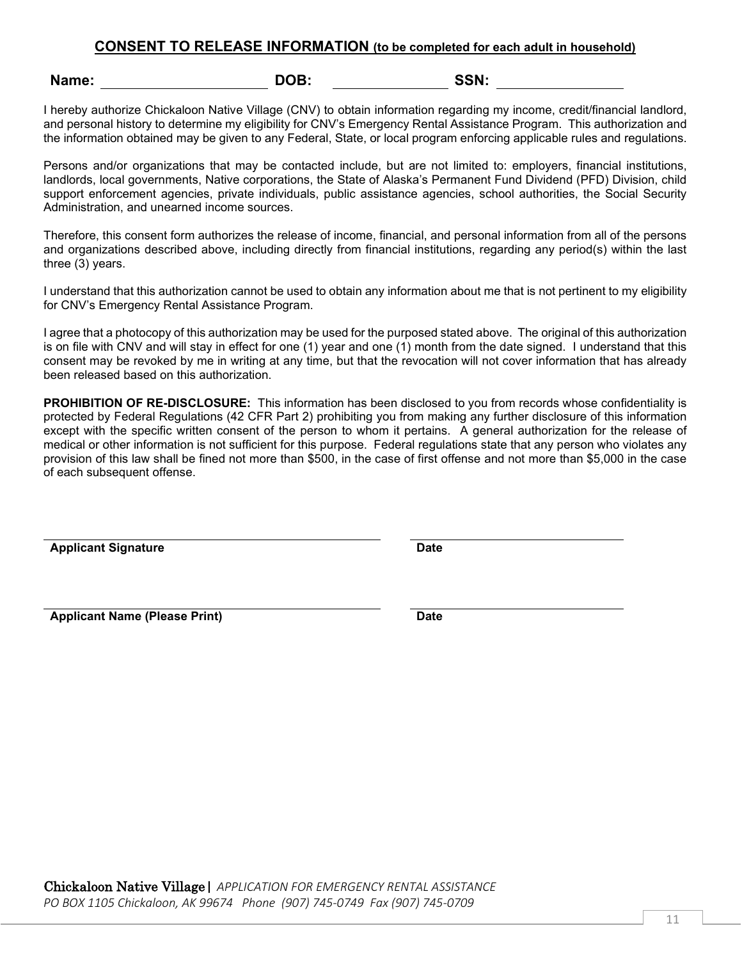#### **CONSENT TO RELEASE INFORMATION (to be completed for each adult in household)**

| DOB:<br>SSN:<br>Name: |  |
|-----------------------|--|
|-----------------------|--|

I hereby authorize Chickaloon Native Village (CNV) to obtain information regarding my income, credit/financial landlord, and personal history to determine my eligibility for CNV's Emergency Rental Assistance Program. This authorization and the information obtained may be given to any Federal, State, or local program enforcing applicable rules and regulations.

Persons and/or organizations that may be contacted include, but are not limited to: employers, financial institutions, landlords, local governments, Native corporations, the State of Alaska's Permanent Fund Dividend (PFD) Division, child support enforcement agencies, private individuals, public assistance agencies, school authorities, the Social Security Administration, and unearned income sources.

Therefore, this consent form authorizes the release of income, financial, and personal information from all of the persons and organizations described above, including directly from financial institutions, regarding any period(s) within the last three (3) years.

I understand that this authorization cannot be used to obtain any information about me that is not pertinent to my eligibility for CNV's Emergency Rental Assistance Program.

I agree that a photocopy of this authorization may be used for the purposed stated above. The original of this authorization is on file with CNV and will stay in effect for one (1) year and one (1) month from the date signed. I understand that this consent may be revoked by me in writing at any time, but that the revocation will not cover information that has already been released based on this authorization.

**PROHIBITION OF RE-DISCLOSURE:** This information has been disclosed to you from records whose confidentiality is protected by Federal Regulations (42 CFR Part 2) prohibiting you from making any further disclosure of this information except with the specific written consent of the person to whom it pertains. A general authorization for the release of medical or other information is not sufficient for this purpose. Federal regulations state that any person who violates any provision of this law shall be fined not more than \$500, in the case of first offense and not more than \$5,000 in the case of each subsequent offense.

**Applicant Signature Date** 

**Applicant Name (Please Print) Date**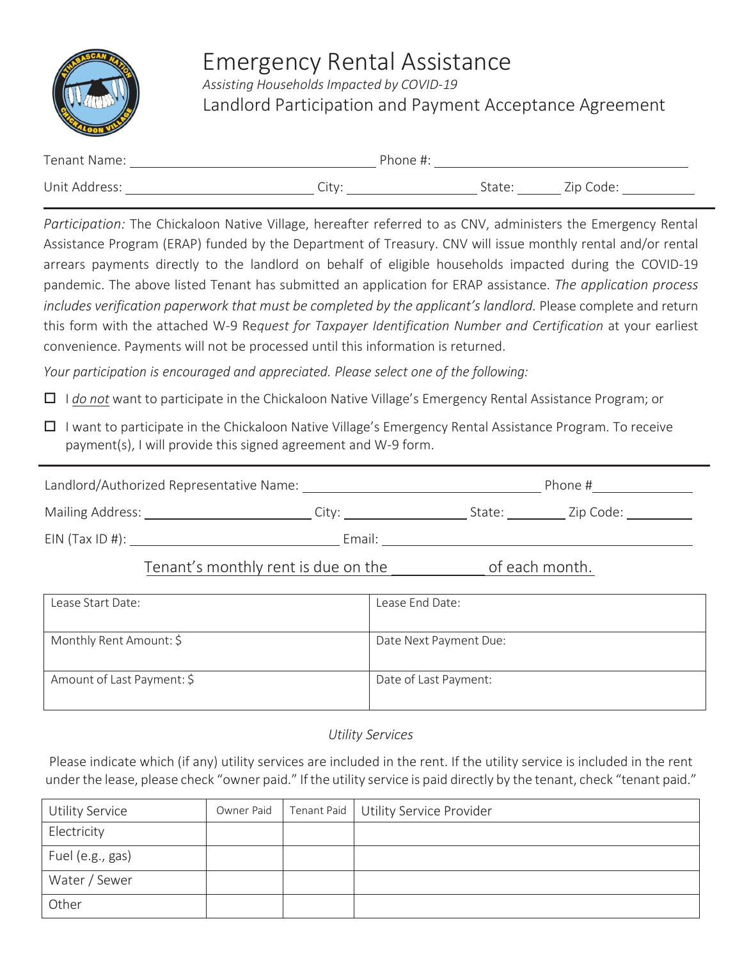

# Emergency Rental Assistance

*Assisting Households Impacted by COVID-19* Landlord Participation and Payment Acceptance Agreement

| Tenant Name:  |                   | Phone #: |        |           |
|---------------|-------------------|----------|--------|-----------|
| Unit Address: | Citv <sup>.</sup> |          | State: | Zip Code: |

*Participation:* The Chickaloon Native Village, hereafter referred to as CNV, administers the Emergency Rental Assistance Program (ERAP) funded by the Department of Treasury. CNV will issue monthly rental and/or rental arrears payments directly to the landlord on behalf of eligible households impacted during the COVID-19 pandemic. The above listed Tenant has submitted an application for ERAP assistance. *The application process includes verification paperwork that must be completed by the applicant's landlord.* Please complete and return this form with the attached W-9 Re*quest for Taxpayer Identification Number and Certification* at your earliest convenience. Payments will not be processed until this information is returned.

*Your participation is encouraged and appreciated. Please select one of the following:*

I *do not* want to participate in the Chickaloon Native Village's Emergency Rental Assistance Program; or

 $\Box$  I want to participate in the Chickaloon Native Village's Emergency Rental Assistance Program. To receive payment(s), I will provide this signed agreement and W-9 form.

| Landlord/Authorized Representative Name:<br>Phone, |  |
|----------------------------------------------------|--|
|----------------------------------------------------|--|

| Mailing Address: |  |  |
|------------------|--|--|
|                  |  |  |

EIN (Tax ID #): Email:

### Tenant's monthly rent is due on the of each month.

| Lease Start Date:          | Lease End Date:        |
|----------------------------|------------------------|
| Monthly Rent Amount: \$    | Date Next Payment Due: |
| Amount of Last Payment: \$ | Date of Last Payment:  |

#### *Utility Services*

Please indicate which (if any) utility services are included in the rent. If the utility service is included in the rent under the lease, please check "owner paid." If the utility service is paid directly by the tenant, check "tenant paid."

| Utility Service  | Owner Paid | Tenant Paid   Utility Service Provider |
|------------------|------------|----------------------------------------|
| Electricity      |            |                                        |
| Fuel (e.g., gas) |            |                                        |
| Water / Sewer    |            |                                        |
| Other            |            |                                        |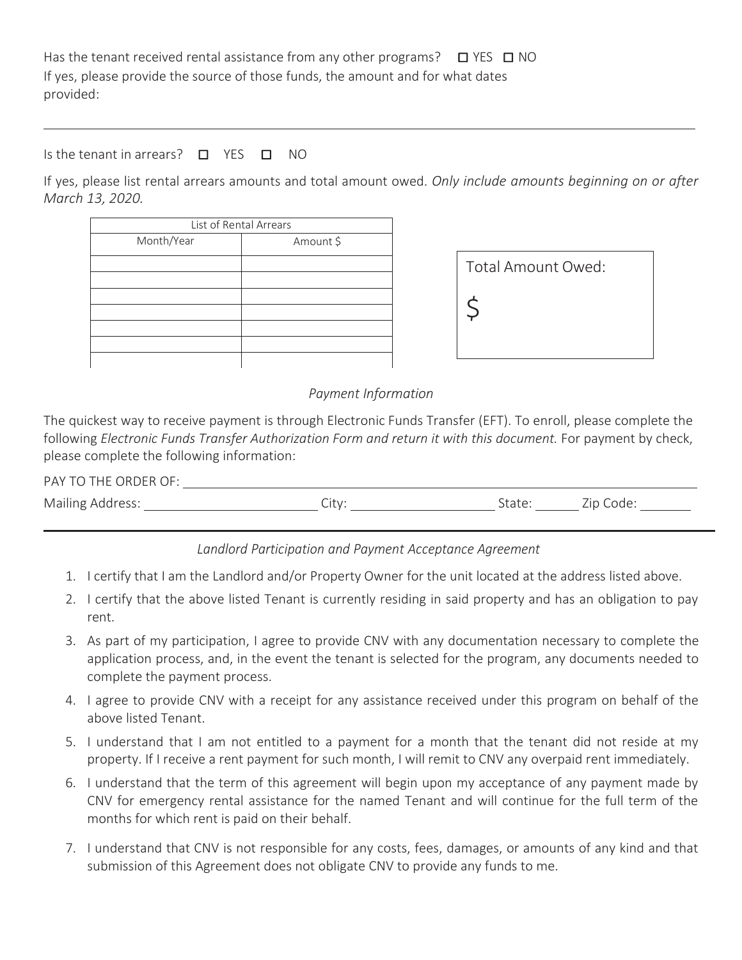Has the tenant received rental assistance from any other programs?  $\Box$  YES  $\Box$  NO If yes, please provide the source of those funds, the amount and for what dates provided:

Is the tenant in arrears? □ YES □ NO

If yes, please list rental arrears amounts and total amount owed. *Only include amounts beginning on or after March 13, 2020.*

| List of Rental Arrears |  |  |  |
|------------------------|--|--|--|
| Amount \$              |  |  |  |
|                        |  |  |  |
|                        |  |  |  |
|                        |  |  |  |
|                        |  |  |  |
|                        |  |  |  |
|                        |  |  |  |
|                        |  |  |  |
|                        |  |  |  |

| Total Amount Owed: |  |
|--------------------|--|
|                    |  |
|                    |  |

*Payment Information*

The quickest way to receive payment is through Electronic Funds Transfer (EFT). To enroll, please complete the following *Electronic Funds Transfer Authorization Form and return it with this document.* For payment by check, please complete the following information:

| PAY TO THE ORDER OF: |  |       |
|----------------------|--|-------|
| Mailing Address:     |  | Code: |

*Landlord Participation and Payment Acceptance Agreement*

- 1. I certify that I am the Landlord and/or Property Owner for the unit located at the address listed above.
- 2. I certify that the above listed Tenant is currently residing in said property and has an obligation to pay rent.
- 3. As part of my participation, I agree to provide CNV with any documentation necessary to complete the application process, and, in the event the tenant is selected for the program, any documents needed to complete the payment process.
- 4. I agree to provide CNV with a receipt for any assistance received under this program on behalf of the above listed Tenant.
- 5. I understand that I am not entitled to a payment for a month that the tenant did not reside at my property. If I receive a rent payment for such month, I will remit to CNV any overpaid rent immediately.
- 6. I understand that the term of this agreement will begin upon my acceptance of any payment made by CNV for emergency rental assistance for the named Tenant and will continue for the full term of the months for which rent is paid on their behalf.
- 7. I understand that CNV is not responsible for any costs, fees, damages, or amounts of any kind and that submission of this Agreement does not obligate CNV to provide any funds to me.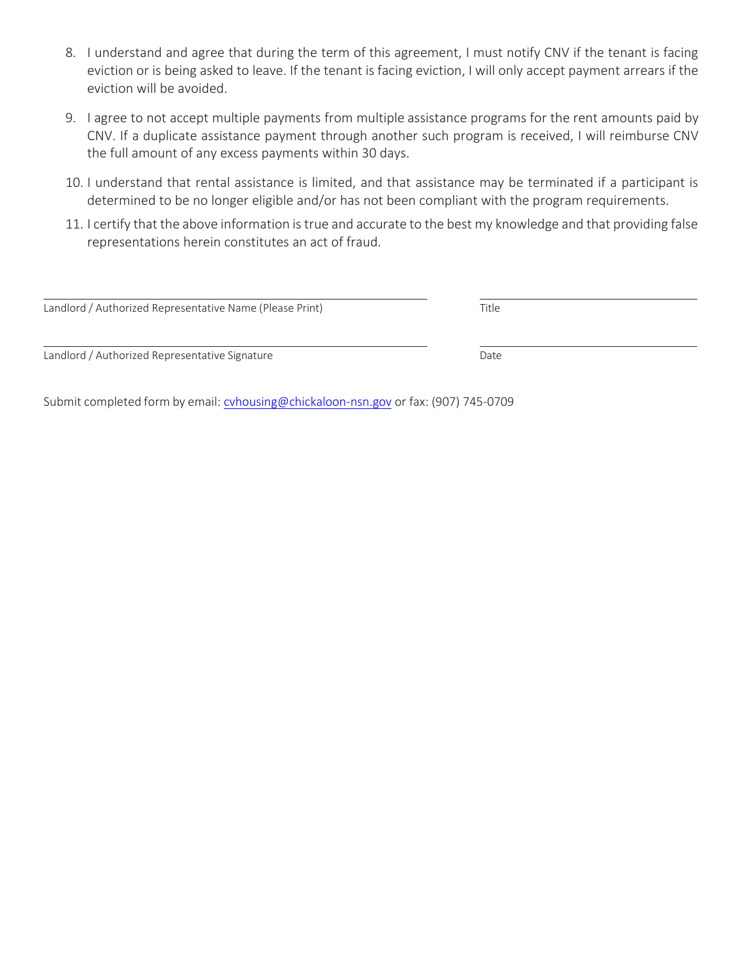- 8. I understand and agree that during the term of this agreement, I must notify CNV if the tenant is facing eviction or is being asked to leave. If the tenant is facing eviction, I will only accept payment arrears if the eviction will be avoided.
- 9. I agree to not accept multiple payments from multiple assistance programs for the rent amounts paid by CNV. If a duplicate assistance payment through another such program is received, I will reimburse CNV the full amount of any excess payments within 30 days.
- 10. I understand that rental assistance is limited, and that assistance may be terminated if a participant is determined to be no longer eligible and/or has not been compliant with the program requirements.
- 11. I certify that the above information istrue and accurate to the best my knowledge and that providing false representations herein constitutes an act of fraud.

| Landlord / Authorized Representative Name (Please Print) | Title |  |
|----------------------------------------------------------|-------|--|
|                                                          |       |  |
| Landlord / Authorized Representative Signature           | Date  |  |

Submit completed form by email[: cvhousing@chickaloon-nsn.gov](mailto:cvhousing@chickaloon-nsn.gov) or fax: (907) 745-0709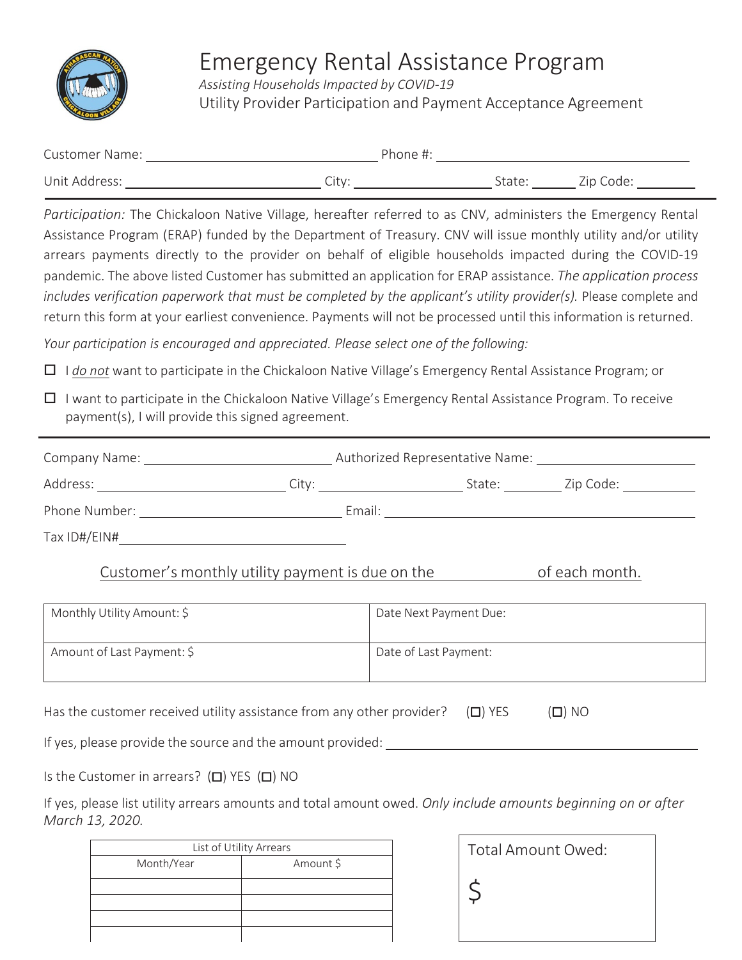

## Emergency Rental Assistance Program

*Assisting Households Impacted by COVID-19* Utility Provider Participation and Payment Acceptance Agreement

| <b>Customer Name:</b> | Phone #: |        |           |  |
|-----------------------|----------|--------|-----------|--|
| Unit Address:         | Citv     | State: | Zip Code: |  |

*Participation:* The Chickaloon Native Village, hereafter referred to as CNV, administers the Emergency Rental Assistance Program (ERAP) funded by the Department of Treasury. CNV will issue monthly utility and/or utility arrears payments directly to the provider on behalf of eligible households impacted during the COVID-19 pandemic. The above listed Customer has submitted an application for ERAP assistance. *The application process includes verification paperwork that must be completed by the applicant's utility provider(s).* Please complete and return this form at your earliest convenience. Payments will not be processed until this information is returned.

*Your participation is encouraged and appreciated. Please select one of the following:*

- I *do not* want to participate in the Chickaloon Native Village's Emergency Rental Assistance Program; or
- $\Box$  I want to participate in the Chickaloon Native Village's Emergency Rental Assistance Program. To receive payment(s), I will provide this signed agreement.

| Company Name: The Company Name:                                                                                                                                                                                               | Authorized Representative Name:                                                                                                                                                                                                |        |                                  |
|-------------------------------------------------------------------------------------------------------------------------------------------------------------------------------------------------------------------------------|--------------------------------------------------------------------------------------------------------------------------------------------------------------------------------------------------------------------------------|--------|----------------------------------|
| Address: ________________________                                                                                                                                                                                             | City: the contract of the contract of the contract of the contract of the contract of the contract of the contract of the contract of the contract of the contract of the contract of the contract of the contract of the cont | State: | Zip Code: The Manager of the Sea |
| Phone Number: The Contract of the Contract of the Contract of the Contract of the Contract of the Contract of the Contract of the Contract of the Contract of the Contract of the Contract of the Contract of the Contract of | Email:                                                                                                                                                                                                                         |        |                                  |
| Tax ID#/EIN#                                                                                                                                                                                                                  |                                                                                                                                                                                                                                |        |                                  |
| Customer's monthly utility payment is due on the                                                                                                                                                                              |                                                                                                                                                                                                                                |        | of each month.                   |

| Monthly Utility Amount: \$ | Date Next Payment Due: |
|----------------------------|------------------------|
| Amount of Last Payment: \$ | Date of Last Payment:  |

Has the customer received utility assistance from any other provider?  $(\Box)$  YES  $(\Box)$  NO

If yes, please provide the source and the amount provided:

Is the Customer in arrears? (□) YES (□) NO

If yes, please list utility arrears amounts and total amount owed. *Only include amounts beginning on or after March 13, 2020.*

| List of Utility Arrears |           |  |
|-------------------------|-----------|--|
| Month/Year              | Amount \$ |  |
|                         |           |  |
|                         |           |  |
|                         |           |  |
|                         |           |  |

| Total Amount Owed: |  |
|--------------------|--|
|                    |  |
|                    |  |